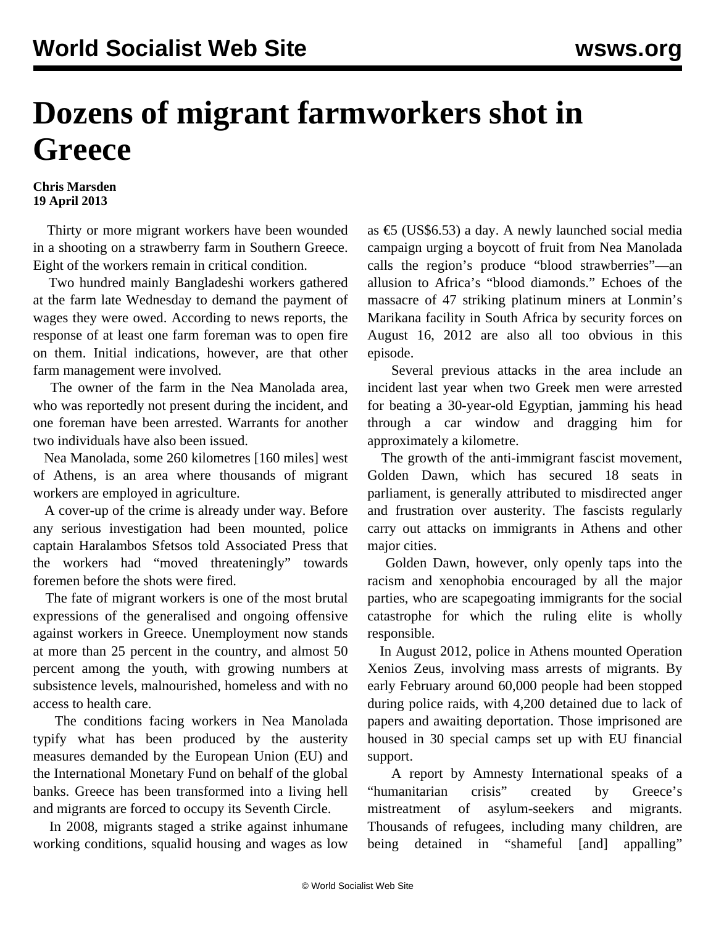## **Dozens of migrant farmworkers shot in Greece**

## **Chris Marsden 19 April 2013**

 Thirty or more migrant workers have been wounded in a shooting on a strawberry farm in Southern Greece. Eight of the workers remain in critical condition.

 Two hundred mainly Bangladeshi workers gathered at the farm late Wednesday to demand the payment of wages they were owed. According to news reports, the response of at least one farm foreman was to open fire on them. Initial indications, however, are that other farm management were involved.

 The owner of the farm in the Nea Manolada area, who was reportedly not present during the incident, and one foreman have been arrested. Warrants for another two individuals have also been issued.

 Nea Manolada, some 260 kilometres [160 miles] west of Athens, is an area where thousands of migrant workers are employed in agriculture.

 A cover-up of the crime is already under way. Before any serious investigation had been mounted, police captain Haralambos Sfetsos told Associated Press that the workers had "moved threateningly" towards foremen before the shots were fired.

 The fate of migrant workers is one of the most brutal expressions of the generalised and ongoing offensive against workers in Greece. Unemployment now stands at more than 25 percent in the country, and almost 50 percent among the youth, with growing numbers at subsistence levels, malnourished, homeless and with no access to health care.

 The conditions facing workers in Nea Manolada typify what has been produced by the austerity measures demanded by the European Union (EU) and the International Monetary Fund on behalf of the global banks. Greece has been transformed into a living hell and migrants are forced to occupy its Seventh Circle.

 In 2008, migrants staged a strike against inhumane working conditions, squalid housing and wages as low

as €5 (US\$6.53) a day. A newly launched social media campaign urging a boycott of fruit from Nea Manolada calls the region's produce "blood strawberries"—an allusion to Africa's "blood diamonds." Echoes of the massacre of 47 striking platinum miners at Lonmin's Marikana facility in South Africa by security forces on August 16, 2012 are also all too obvious in this episode.

 Several previous attacks in the area include an incident last year when two Greek men were arrested for beating a 30-year-old Egyptian, jamming his head through a car window and dragging him for approximately a kilometre.

 The growth of the anti-immigrant fascist movement, Golden Dawn, which has secured 18 seats in parliament, is generally attributed to misdirected anger and frustration over austerity. The fascists regularly carry out attacks on immigrants in Athens and other major cities.

 Golden Dawn, however, only openly taps into the racism and xenophobia encouraged by all the major parties, who are scapegoating immigrants for the social catastrophe for which the ruling elite is wholly responsible.

 In August 2012, police in Athens mounted Operation Xenios Zeus, involving mass arrests of migrants. By early February around 60,000 people had been stopped during police raids, with 4,200 detained due to lack of papers and awaiting deportation. Those imprisoned are housed in 30 special camps set up with EU financial support.

 A report by Amnesty International speaks of a "humanitarian crisis" created by Greece's mistreatment of asylum-seekers and migrants. Thousands of refugees, including many children, are being detained in "shameful [and] appalling"